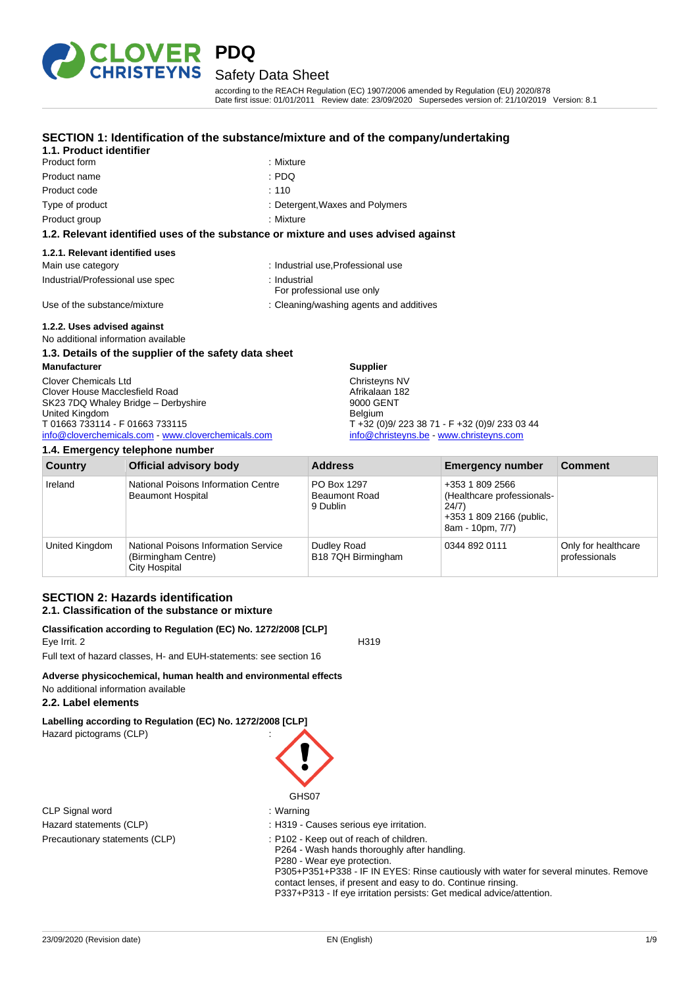

according to the REACH Regulation (EC) 1907/2006 amended by Regulation (EU) 2020/878 Date first issue: 01/01/2011 Review date: 23/09/2020 Supersedes version of: 21/10/2019 Version: 8.1

### **SECTION 1: Identification of the substance/mixture and of the company/undertaking**

| 1.1. Product identifier          | <u>ULUTION T. IUCHIMCANUM UN IMC SUDSIGNUCTIMAIUM GMU UN IMC CUMPANYUM</u>         |
|----------------------------------|------------------------------------------------------------------------------------|
| Product form                     | : Mixture                                                                          |
| Product name                     | : PDQ                                                                              |
| Product code                     | : 110                                                                              |
| Type of product                  | : Detergent, Waxes and Polymers                                                    |
| Product group                    | : Mixture                                                                          |
|                                  | 1.2. Relevant identified uses of the substance or mixture and uses advised against |
| 1.2.1. Relevant identified uses  |                                                                                    |
| Main use category                | : Industrial use, Professional use                                                 |
| Industrial/Professional use spec | : Industrial<br>For professional use only                                          |

Use of the substance/mixture in the substance of the substance of the substance of the substance of the substance of the substance of the substance of the substance of the substance of the substance of the substance of the

### **1.2.2. Uses advised against**

No additional information available

### **1.3. Details of the supplier of the safety data sheet**

**Manufacturer** Clover Chemicals Ltd Clover House Macclesfield Road SK23 7DQ Whaley Bridge - Derbyshire United Kingdom T 01663 733114 - F 01663 733115 [info@cloverchemicals.com](mailto:info@cloverchemicals.com) - [www.cloverchemicals.com](http://www.cloverchemicals.com/)

| 1.4. Emergency telephone number |                                                                              |                                                 |                                                                                                        |                                      |
|---------------------------------|------------------------------------------------------------------------------|-------------------------------------------------|--------------------------------------------------------------------------------------------------------|--------------------------------------|
| Country                         | <b>Official advisory body</b>                                                | <b>Address</b>                                  | <b>Emergency number</b>                                                                                | <b>Comment</b>                       |
| Ireland                         | National Poisons Information Centre<br><b>Beaumont Hospital</b>              | PO Box 1297<br><b>Beaumont Road</b><br>9 Dublin | +353 1 809 2566<br>(Healthcare professionals-<br>24/7)<br>+353 1 809 2166 (public,<br>8am - 10pm, 7/7) |                                      |
| United Kingdom                  | National Poisons Information Service<br>(Birmingham Centre)<br>City Hospital | Dudley Road<br>B18 7QH Birmingham               | 0344 892 0111                                                                                          | Only for healthcare<br>professionals |

**Supplier** Christeyns NV Afrikalaan 182 9000 GENT Belgium

T +32 (0)9/ 223 38 71 - F +32 (0)9/ 233 03 44 [info@christeyns.be](mailto:info@christeyns.be) - [www.christeyns.com](http://www.christeyns.com/)

### **SECTION 2: Hazards identification 2.1. Classification of the substance or mixture**

### **Classification according to Regulation (EC) No. 1272/2008 [CLP]** Eye Irrit. 2 H319

Full text of hazard classes, H- and EUH-statements: see section 16

### **Adverse physicochemical, human health and environmental effects**

# No additional information available

### **2.2. Label elements**

**Labelling according to Regulation (EC) No. 1272/2008 [CLP]** Hazard pictograms (CLP) :

CLP Signal word : Warning



- 
- Hazard statements (CLP)  $\qquad \qquad$ : H319 Causes serious eye irritation.

Precautionary statements (CLP) : P102 - Keep out of reach of children. P264 - Wash hands thoroughly after handling. P280 - Wear eye protection. P305+P351+P338 - IF IN EYES: Rinse cautiously with water for several minutes. Remove contact lenses, if present and easy to do. Continue rinsing. P337+P313 - If eye irritation persists: Get medical advice/attention.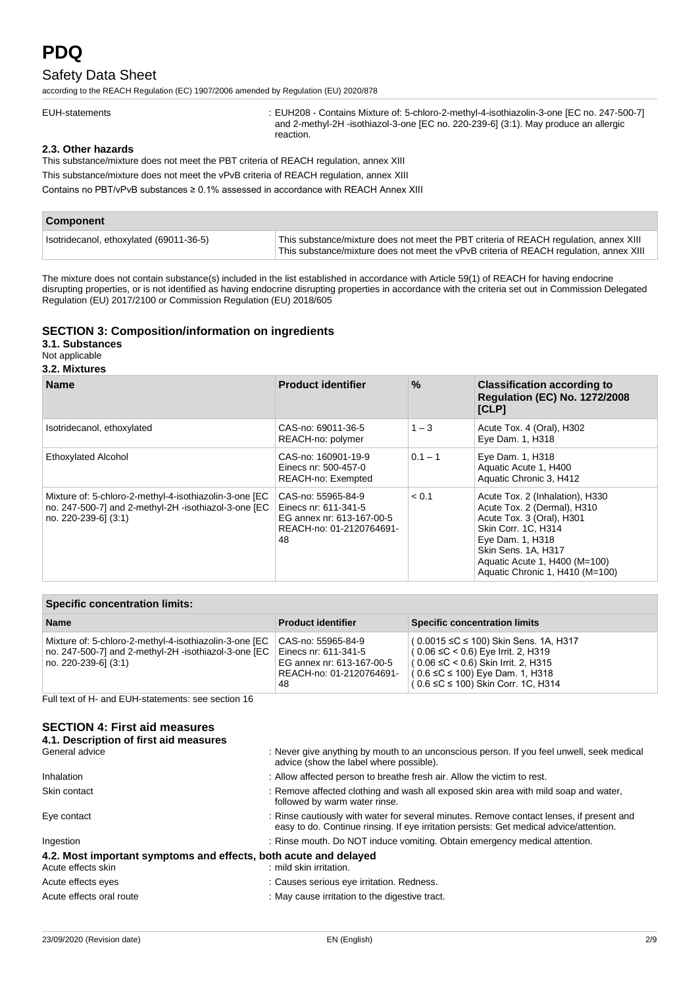# **PDQ**

# Safety Data Sheet

according to the REACH Regulation (EC) 1907/2006 amended by Regulation (EU) 2020/878

EUH-statements : EUH208 - Contains Mixture of: 5-chloro-2-methyl-4-isothiazolin-3-one [EC no. 247-500-7] and 2-methyl-2H -isothiazol-3-one [EC no. 220-239-6] (3:1). May produce an allergic reaction.

### **2.3. Other hazards**

This substance/mixture does not meet the PBT criteria of REACH regulation, annex XIII

This substance/mixture does not meet the vPvB criteria of REACH regulation, annex XIII

Contains no PBT/vPvB substances ≥ 0.1% assessed in accordance with REACH Annex XIII

| Component                               |                                                                                                                                                                                 |
|-----------------------------------------|---------------------------------------------------------------------------------------------------------------------------------------------------------------------------------|
| Isotridecanol, ethoxylated (69011-36-5) | This substance/mixture does not meet the PBT criteria of REACH regulation, annex XIII<br>This substance/mixture does not meet the vPvB criteria of REACH regulation, annex XIII |

The mixture does not contain substance(s) included in the list established in accordance with Article 59(1) of REACH for having endocrine disrupting properties, or is not identified as having endocrine disrupting properties in accordance with the criteria set out in Commission Delegated Regulation (EU) 2017/2100 or Commission Regulation (EU) 2018/605

### **SECTION 3: Composition/information on ingredients**

**3.1. Substances**

Not applicable

### **3.2. Mixtures**

| <b>Name</b>                                                                                                                            | <b>Product identifier</b>                                                                                 | $\%$      | <b>Classification according to</b><br><b>Regulation (EC) No. 1272/2008</b><br>[CLP]                                                                                                                                               |
|----------------------------------------------------------------------------------------------------------------------------------------|-----------------------------------------------------------------------------------------------------------|-----------|-----------------------------------------------------------------------------------------------------------------------------------------------------------------------------------------------------------------------------------|
| Isotridecanol, ethoxylated                                                                                                             | CAS-no: 69011-36-5<br>REACH-no: polymer                                                                   | $1 - 3$   | Acute Tox. 4 (Oral), H302<br>Eye Dam. 1, H318                                                                                                                                                                                     |
| <b>Ethoxylated Alcohol</b>                                                                                                             | CAS-no: 160901-19-9<br>Einecs nr: 500-457-0<br>REACH-no: Exempted                                         | $0.1 - 1$ | Eye Dam. 1, H318<br>Aquatic Acute 1, H400<br>Aquatic Chronic 3, H412                                                                                                                                                              |
| Mixture of: 5-chloro-2-methyl-4-isothiazolin-3-one [EC<br>no. 247-500-7] and 2-methyl-2H -isothiazol-3-one [EC<br>no. 220-239-61 (3:1) | CAS-no: 55965-84-9<br>Einecs nr: 611-341-5<br>EG annex nr: 613-167-00-5<br>REACH-no: 01-2120764691-<br>48 | < 0.1     | Acute Tox. 2 (Inhalation), H330<br>Acute Tox. 2 (Dermal), H310<br>Acute Tox. 3 (Oral), H301<br>Skin Corr. 1C, H314<br>Eye Dam. 1, H318<br>Skin Sens. 1A, H317<br>Aquatic Acute 1, H400 (M=100)<br>Aquatic Chronic 1, H410 (M=100) |

|  |  | <b>Specific concentration limits:</b> |  |
|--|--|---------------------------------------|--|
|--|--|---------------------------------------|--|

| <b>Name</b>                                            | <b>Product identifier</b> | <b>Specific concentration limits</b>              |
|--------------------------------------------------------|---------------------------|---------------------------------------------------|
| Mixture of: 5-chloro-2-methyl-4-isothiazolin-3-one [EC | CAS-no: 55965-84-9        | $(0.0015 \leq C \leq 100)$ Skin Sens. 1A, H317    |
| no. 247-500-7] and 2-methyl-2H -isothiazol-3-one [EC   | Einecs nr: 611-341-5      | $(0.06 ≤ C < 0.6)$ Eye Irrit. 2, H319             |
| no. 220-239-6] (3:1)                                   | EG annex nr: 613-167-00-5 | ( 0.06 ≤C < 0.6) Skin Irrit. 2, H315              |
|                                                        | REACH-no: 01-2120764691-  | $(0.6 ≤ C ≤ 100)$ Eye Dam. 1, H318                |
|                                                        | 48                        | $\frac{1}{2}$ ( 0.6 ≤C ≤ 100) Skin Corr. 1C, H314 |

Full text of H- and EUH-statements: see section 16

### **SECTION 4: First aid measures**

| 4.1. Description of first aid measures                                                 |                                                                                                                                                                                     |
|----------------------------------------------------------------------------------------|-------------------------------------------------------------------------------------------------------------------------------------------------------------------------------------|
| General advice                                                                         | : Never give anything by mouth to an unconscious person. If you feel unwell, seek medical<br>advice (show the label where possible).                                                |
| <b>Inhalation</b>                                                                      | : Allow affected person to breathe fresh air. Allow the victim to rest.                                                                                                             |
| Skin contact                                                                           | : Remove affected clothing and wash all exposed skin area with mild soap and water,<br>followed by warm water rinse.                                                                |
| Eye contact                                                                            | : Rinse cautiously with water for several minutes. Remove contact lenses, if present and<br>easy to do. Continue rinsing. If eye irritation persists: Get medical advice/attention. |
| Ingestion                                                                              | : Rinse mouth. Do NOT induce vomiting. Obtain emergency medical attention.                                                                                                          |
| 4.2. Most important symptoms and effects, both acute and delayed<br>Acute effects skin | : mild skin irritation.                                                                                                                                                             |
| Acute effects eyes                                                                     | : Causes serious eye irritation. Redness.                                                                                                                                           |
| Acute effects oral route                                                               | : May cause irritation to the digestive tract.                                                                                                                                      |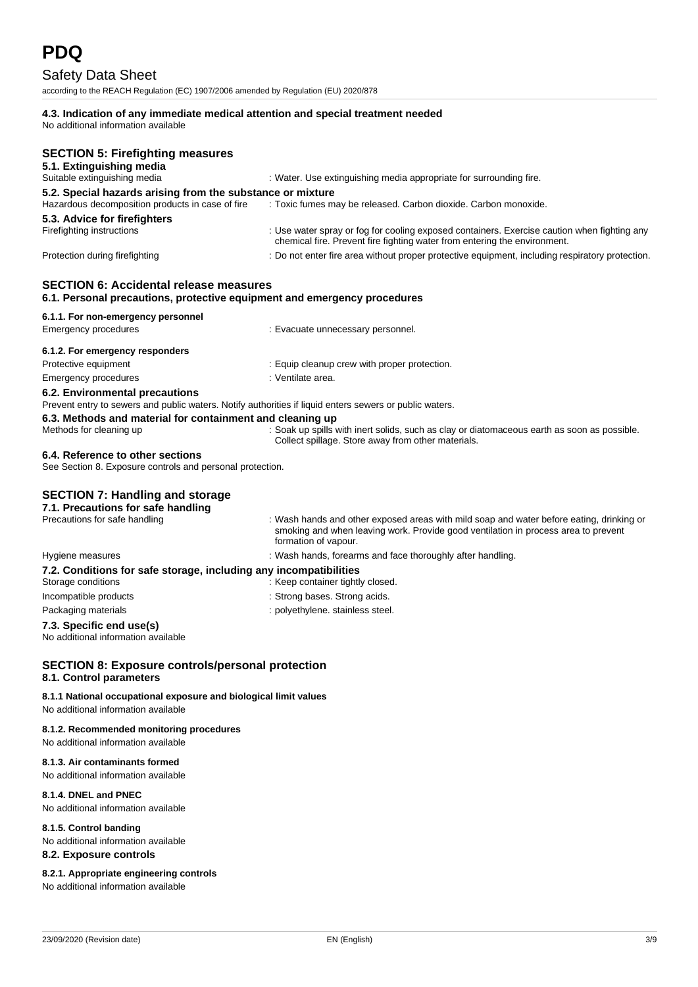according to the REACH Regulation (EC) 1907/2006 amended by Regulation (EU) 2020/878

### **4.3. Indication of any immediate medical attention and special treatment needed**

No additional information available

| <b>SECTION 5: Firefighting measures</b><br>5.1. Extinguishing media                                                                                                  |                                                                                                                                                                                                        |
|----------------------------------------------------------------------------------------------------------------------------------------------------------------------|--------------------------------------------------------------------------------------------------------------------------------------------------------------------------------------------------------|
| Suitable extinguishing media                                                                                                                                         | : Water. Use extinguishing media appropriate for surrounding fire.                                                                                                                                     |
| 5.2. Special hazards arising from the substance or mixture                                                                                                           |                                                                                                                                                                                                        |
| Hazardous decomposition products in case of fire                                                                                                                     | : Toxic fumes may be released. Carbon dioxide. Carbon monoxide.                                                                                                                                        |
| 5.3. Advice for firefighters                                                                                                                                         |                                                                                                                                                                                                        |
| Firefighting instructions                                                                                                                                            | : Use water spray or fog for cooling exposed containers. Exercise caution when fighting any                                                                                                            |
|                                                                                                                                                                      | chemical fire. Prevent fire fighting water from entering the environment.                                                                                                                              |
| Protection during firefighting                                                                                                                                       | : Do not enter fire area without proper protective equipment, including respiratory protection.                                                                                                        |
| <b>SECTION 6: Accidental release measures</b><br>6.1. Personal precautions, protective equipment and emergency procedures                                            |                                                                                                                                                                                                        |
| 6.1.1. For non-emergency personnel                                                                                                                                   |                                                                                                                                                                                                        |
| <b>Emergency procedures</b>                                                                                                                                          | : Evacuate unnecessary personnel.                                                                                                                                                                      |
|                                                                                                                                                                      |                                                                                                                                                                                                        |
| 6.1.2. For emergency responders                                                                                                                                      |                                                                                                                                                                                                        |
| Protective equipment                                                                                                                                                 | : Equip cleanup crew with proper protection.                                                                                                                                                           |
| Emergency procedures                                                                                                                                                 | : Ventilate area.                                                                                                                                                                                      |
| 6.2. Environmental precautions                                                                                                                                       |                                                                                                                                                                                                        |
| Prevent entry to sewers and public waters. Notify authorities if liquid enters sewers or public waters.<br>6.3. Methods and material for containment and cleaning up |                                                                                                                                                                                                        |
| Methods for cleaning up                                                                                                                                              | : Soak up spills with inert solids, such as clay or diatomaceous earth as soon as possible.<br>Collect spillage. Store away from other materials.                                                      |
| 6.4. Reference to other sections<br>See Section 8. Exposure controls and personal protection.                                                                        |                                                                                                                                                                                                        |
|                                                                                                                                                                      |                                                                                                                                                                                                        |
| <b>SECTION 7: Handling and storage</b>                                                                                                                               |                                                                                                                                                                                                        |
| 7.1. Precautions for safe handling                                                                                                                                   |                                                                                                                                                                                                        |
| Precautions for safe handling                                                                                                                                        | : Wash hands and other exposed areas with mild soap and water before eating, drinking or<br>smoking and when leaving work. Provide good ventilation in process area to prevent<br>formation of vapour. |
| Hygiene measures                                                                                                                                                     | : Wash hands, forearms and face thoroughly after handling.                                                                                                                                             |
| 7.2. Conditions for safe storage, including any incompatibilities                                                                                                    |                                                                                                                                                                                                        |
| Storage conditions                                                                                                                                                   | : Keep container tightly closed.                                                                                                                                                                       |
| Incompatible products                                                                                                                                                | : Strong bases. Strong acids.                                                                                                                                                                          |
| Packaging materials                                                                                                                                                  | : polyethylene. stainless steel.                                                                                                                                                                       |
| 7.3. Specific end use(s)<br>No additional information available                                                                                                      |                                                                                                                                                                                                        |
| <b>SECTION 8: Exposure controls/personal protection</b><br>8.1. Control parameters                                                                                   |                                                                                                                                                                                                        |
| 8.1.1 National occupational exposure and biological limit values<br>No additional information available                                                              |                                                                                                                                                                                                        |
| 8.1.2. Recommended monitoring procedures                                                                                                                             |                                                                                                                                                                                                        |

No additional information available

# **8.1.3. Air contaminants formed**

No additional information available

#### **8.1.4. DNEL and PNEC**

No additional information available

### **8.1.5. Control banding**

No additional information available

### **8.2. Exposure controls**

**8.2.1. Appropriate engineering controls**

No additional information available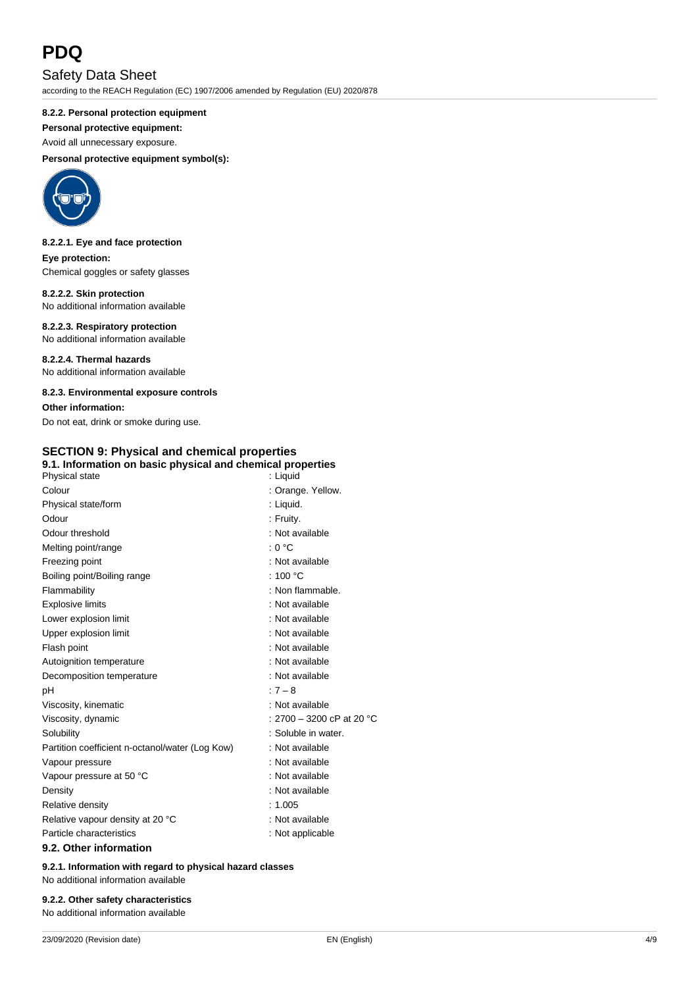# **PDQ**

# Safety Data Sheet

according to the REACH Regulation (EC) 1907/2006 amended by Regulation (EU) 2020/878

### **8.2.2. Personal protection equipment**

**Personal protective equipment:**

Avoid all unnecessary exposure.

### **Personal protective equipment symbol(s):**



### **8.2.2.1. Eye and face protection Eye protection:**

Chemical goggles or safety glasses

### **8.2.2.2. Skin protection** No additional information available

**8.2.2.3. Respiratory protection** No additional information available

**8.2.2.4. Thermal hazards** No additional information available

### **8.2.3. Environmental exposure controls**

**Other information:** Do not eat, drink or smoke during use.

### **SECTION 9: Physical and chemical properties 9.1. Information on basic physical and chemical properties**

| Physical state                                  | : Liquid                  |
|-------------------------------------------------|---------------------------|
| Colour                                          | : Orange. Yellow.         |
| Physical state/form                             | : Liquid.                 |
| Odour                                           | : Fruity.                 |
| Odour threshold                                 | : Not available           |
| Melting point/range                             | : 0 °C                    |
| Freezing point                                  | : Not available           |
| Boiling point/Boiling range                     | : 100 $^{\circ}$ C        |
| Flammability                                    | : Non flammable.          |
| <b>Explosive limits</b>                         | : Not available           |
| Lower explosion limit                           | : Not available           |
| Upper explosion limit                           | : Not available           |
| Flash point                                     | : Not available           |
| Autoignition temperature                        | : Not available           |
| Decomposition temperature                       | : Not available           |
| рH                                              | $:7 - 8$                  |
| Viscosity, kinematic                            | : Not available           |
| Viscosity, dynamic                              | : 2700 – 3200 cP at 20 °C |
| Solubility                                      | : Soluble in water.       |
| Partition coefficient n-octanol/water (Log Kow) | : Not available           |
| Vapour pressure                                 | : Not available           |
| Vapour pressure at 50 °C                        | : Not available           |
| Density                                         | : Not available           |
| Relative density                                | : 1.005                   |
| Relative vapour density at 20 °C                | : Not available           |
| Particle characteristics                        | : Not applicable          |
| 9.2. Other information                          |                           |

**9.2.1. Information with regard to physical hazard classes** No additional information available

### **9.2.2. Other safety characteristics**

No additional information available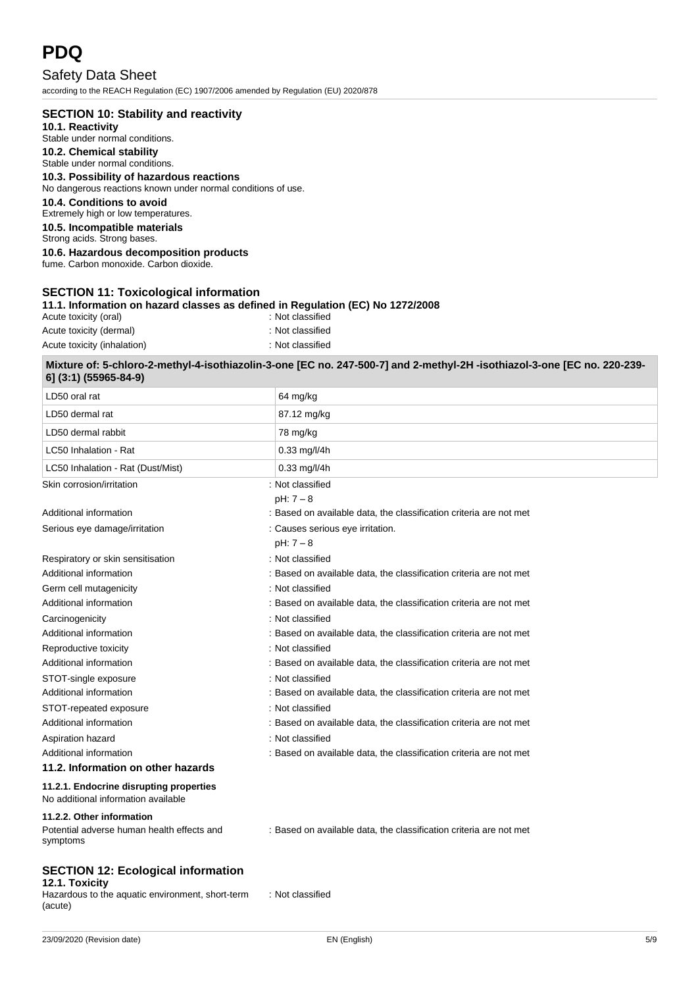# **PDQ**

Safety Data Sheet according to the REACH Regulation (EC) 1907/2006 amended by Regulation (EU) 2020/878

### **SECTION 10: Stability and reactivity**

**10.1. Reactivity** Stable under normal conditions.

### **10.2. Chemical stability**

Stable under normal conditions.

### **10.3. Possibility of hazardous reactions**

No dangerous reactions known under normal conditions of use.

### **10.4. Conditions to avoid**

Extremely high or low temperatures.

**10.5. Incompatible materials**

Strong acids. Strong bases.

### **10.6. Hazardous decomposition products**

fume. Carbon monoxide. Carbon dioxide.

### **SECTION 11: Toxicological information**

**11.1. Information on hazard classes as defined in Regulation (EC) No 1272/2008**

| Acute toxicity (oral)       | : Not classified |
|-----------------------------|------------------|
| Acute toxicity (dermal)     | : Not classified |
| Acute toxicity (inhalation) | : Not classified |

### **Mixture of: 5-chloro-2-methyl-4-isothiazolin-3-one [EC no. 247-500-7] and 2-methyl-2H -isothiazol-3-one [EC no. 220-239- 6] (3:1) (55965-84-9)**

| LD50 oral rat                                                                  | 64 mg/kg                                                           |
|--------------------------------------------------------------------------------|--------------------------------------------------------------------|
| LD50 dermal rat                                                                | 87.12 mg/kg                                                        |
| LD50 dermal rabbit                                                             | 78 mg/kg                                                           |
| LC50 Inhalation - Rat                                                          | $0.33$ mg/l/4h                                                     |
| LC50 Inhalation - Rat (Dust/Mist)                                              | $0.33$ mg/l/4h                                                     |
| Skin corrosion/irritation                                                      | : Not classified                                                   |
|                                                                                | $pH: 7 - 8$                                                        |
| Additional information                                                         | : Based on available data, the classification criteria are not met |
| Serious eye damage/irritation                                                  | : Causes serious eye irritation.                                   |
|                                                                                | $pH: 7 - 8$                                                        |
| Respiratory or skin sensitisation                                              | : Not classified                                                   |
| Additional information                                                         | : Based on available data, the classification criteria are not met |
| Germ cell mutagenicity                                                         | : Not classified                                                   |
| Additional information                                                         | : Based on available data, the classification criteria are not met |
| Carcinogenicity                                                                | : Not classified                                                   |
| Additional information                                                         | : Based on available data, the classification criteria are not met |
| Reproductive toxicity                                                          | : Not classified                                                   |
| Additional information                                                         | : Based on available data, the classification criteria are not met |
| STOT-single exposure                                                           | : Not classified                                                   |
| Additional information                                                         | : Based on available data, the classification criteria are not met |
| STOT-repeated exposure                                                         | : Not classified                                                   |
| Additional information                                                         | : Based on available data, the classification criteria are not met |
| Aspiration hazard                                                              | : Not classified                                                   |
| Additional information                                                         | : Based on available data, the classification criteria are not met |
| 11.2. Information on other hazards                                             |                                                                    |
| 11.2.1. Endocrine disrupting properties<br>No additional information available |                                                                    |
| 11.2.2. Other information                                                      |                                                                    |

Potential adverse human health effects and symptoms

: Based on available data, the classification criteria are not met

### **SECTION 12: Ecological information 12.1. Toxicity**

Hazardous to the aquatic environment, short-term (acute)

: Not classified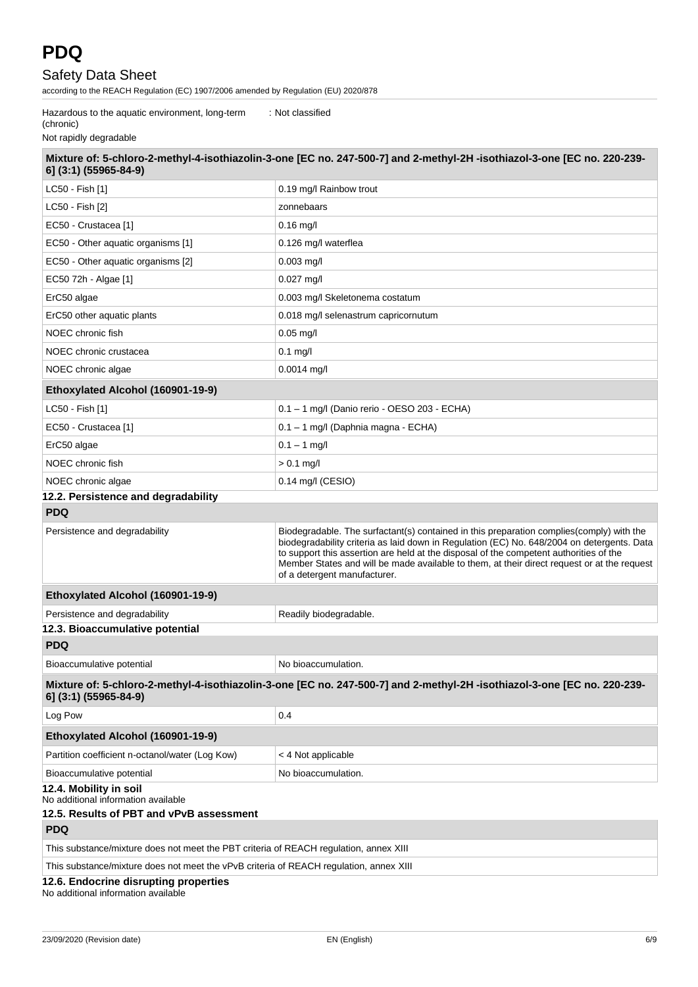according to the REACH Regulation (EC) 1907/2006 amended by Regulation (EU) 2020/878

Hazardous to the aquatic environment, long-term : Not classified

(chronic)

Not rapidly degradable

| 6] (3:1) (55965-84-9)                                                                                     | Mixture of: 5-chloro-2-methyl-4-isothiazolin-3-one [EC no. 247-500-7] and 2-methyl-2H-isothiazol-3-one [EC no. 220-239-                                                                                                                                                                                                                                                                                          |  |
|-----------------------------------------------------------------------------------------------------------|------------------------------------------------------------------------------------------------------------------------------------------------------------------------------------------------------------------------------------------------------------------------------------------------------------------------------------------------------------------------------------------------------------------|--|
| LC50 - Fish [1]                                                                                           | 0.19 mg/l Rainbow trout                                                                                                                                                                                                                                                                                                                                                                                          |  |
| LC50 - Fish [2]                                                                                           | zonnebaars                                                                                                                                                                                                                                                                                                                                                                                                       |  |
| EC50 - Crustacea [1]                                                                                      | $0.16$ mg/l                                                                                                                                                                                                                                                                                                                                                                                                      |  |
| EC50 - Other aquatic organisms [1]                                                                        | 0.126 mg/l waterflea                                                                                                                                                                                                                                                                                                                                                                                             |  |
| EC50 - Other aquatic organisms [2]                                                                        | $0.003$ mg/l                                                                                                                                                                                                                                                                                                                                                                                                     |  |
| EC50 72h - Algae [1]                                                                                      | $0.027$ mg/l                                                                                                                                                                                                                                                                                                                                                                                                     |  |
| ErC50 algae                                                                                               | 0.003 mg/l Skeletonema costatum                                                                                                                                                                                                                                                                                                                                                                                  |  |
| ErC50 other aquatic plants                                                                                | 0.018 mg/l selenastrum capricornutum                                                                                                                                                                                                                                                                                                                                                                             |  |
| NOEC chronic fish                                                                                         | $0.05$ mg/l                                                                                                                                                                                                                                                                                                                                                                                                      |  |
| NOEC chronic crustacea                                                                                    | $0.1$ mg/l                                                                                                                                                                                                                                                                                                                                                                                                       |  |
| NOEC chronic algae                                                                                        | 0.0014 mg/l                                                                                                                                                                                                                                                                                                                                                                                                      |  |
| Ethoxylated Alcohol (160901-19-9)                                                                         |                                                                                                                                                                                                                                                                                                                                                                                                                  |  |
| LC50 - Fish [1]                                                                                           | 0.1 - 1 mg/l (Danio rerio - OESO 203 - ECHA)                                                                                                                                                                                                                                                                                                                                                                     |  |
| EC50 - Crustacea [1]                                                                                      | 0.1 - 1 mg/l (Daphnia magna - ECHA)                                                                                                                                                                                                                                                                                                                                                                              |  |
| ErC50 algae                                                                                               | $0.1 - 1$ mg/l                                                                                                                                                                                                                                                                                                                                                                                                   |  |
| NOEC chronic fish                                                                                         | $> 0.1$ mg/l                                                                                                                                                                                                                                                                                                                                                                                                     |  |
| NOEC chronic algae                                                                                        | $0.14$ mg/l (CESIO)                                                                                                                                                                                                                                                                                                                                                                                              |  |
| 12.2. Persistence and degradability                                                                       |                                                                                                                                                                                                                                                                                                                                                                                                                  |  |
| <b>PDQ</b>                                                                                                |                                                                                                                                                                                                                                                                                                                                                                                                                  |  |
| Persistence and degradability                                                                             | Biodegradable. The surfactant(s) contained in this preparation complies (comply) with the<br>biodegradability criteria as laid down in Regulation (EC) No. 648/2004 on detergents. Data<br>to support this assertion are held at the disposal of the competent authorities of the<br>Member States and will be made available to them, at their direct request or at the request<br>of a detergent manufacturer. |  |
| Ethoxylated Alcohol (160901-19-9)                                                                         |                                                                                                                                                                                                                                                                                                                                                                                                                  |  |
| Persistence and degradability                                                                             | Readily biodegradable.                                                                                                                                                                                                                                                                                                                                                                                           |  |
| 12.3. Bioaccumulative potential                                                                           |                                                                                                                                                                                                                                                                                                                                                                                                                  |  |
| <b>PDQ</b>                                                                                                |                                                                                                                                                                                                                                                                                                                                                                                                                  |  |
| Bioaccumulative potential                                                                                 | No bioaccumulation.                                                                                                                                                                                                                                                                                                                                                                                              |  |
| 6] (3:1) (55965-84-9)                                                                                     | Mixture of: 5-chloro-2-methyl-4-isothiazolin-3-one [EC no. 247-500-7] and 2-methyl-2H-isothiazol-3-one [EC no. 220-239-                                                                                                                                                                                                                                                                                          |  |
| Log Pow                                                                                                   | 0.4                                                                                                                                                                                                                                                                                                                                                                                                              |  |
| Ethoxylated Alcohol (160901-19-9)                                                                         |                                                                                                                                                                                                                                                                                                                                                                                                                  |  |
| Partition coefficient n-octanol/water (Log Kow)                                                           | < 4 Not applicable                                                                                                                                                                                                                                                                                                                                                                                               |  |
| Bioaccumulative potential                                                                                 | No bioaccumulation.                                                                                                                                                                                                                                                                                                                                                                                              |  |
| 12.4. Mobility in soil<br>No additional information available<br>12.5. Results of PBT and vPvB assessment |                                                                                                                                                                                                                                                                                                                                                                                                                  |  |
| <b>PDQ</b>                                                                                                |                                                                                                                                                                                                                                                                                                                                                                                                                  |  |
| This substance/mixture does not meet the PBT criteria of REACH regulation, annex XIII                     |                                                                                                                                                                                                                                                                                                                                                                                                                  |  |
| This substance/mixture does not meet the vPvB criteria of REACH regulation, annex XIII                    |                                                                                                                                                                                                                                                                                                                                                                                                                  |  |
| 12.6. Endocrine disrupting properties                                                                     |                                                                                                                                                                                                                                                                                                                                                                                                                  |  |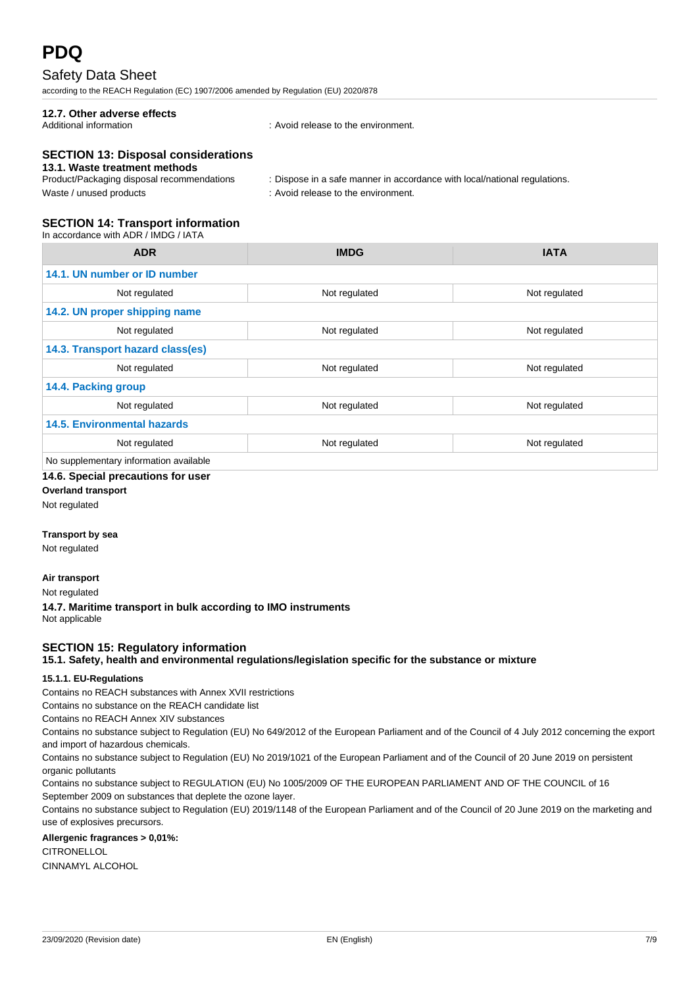according to the REACH Regulation (EC) 1907/2006 amended by Regulation (EU) 2020/878

# **12.7. Other adverse effects**

: Avoid release to the environment.

### **SECTION 13: Disposal considerations**

### **13.1. Waste treatment methods**

| Product/Packaging disposal recommendations | : Dispose in a safe manner in accordance with local/national regulations. |
|--------------------------------------------|---------------------------------------------------------------------------|
| Waste / unused products                    | : Avoid release to the environment.                                       |

### **SECTION 14: Transport information**

In accordance with ADR / IMDG / IATA

| <b>ADR</b>                             | <b>IMDG</b>   | <b>IATA</b>   |  |  |
|----------------------------------------|---------------|---------------|--|--|
| 14.1. UN number or ID number           |               |               |  |  |
| Not regulated                          | Not regulated | Not regulated |  |  |
| 14.2. UN proper shipping name          |               |               |  |  |
| Not regulated                          | Not regulated | Not regulated |  |  |
| 14.3. Transport hazard class(es)       |               |               |  |  |
| Not regulated                          | Not regulated | Not regulated |  |  |
| 14.4. Packing group                    |               |               |  |  |
| Not regulated                          | Not regulated | Not regulated |  |  |
| <b>14.5. Environmental hazards</b>     |               |               |  |  |
| Not regulated                          | Not regulated | Not regulated |  |  |
| No supplementary information available |               |               |  |  |

### **14.6. Special precautions for user**

**Overland transport**

Not regulated

### **Transport by sea**

Not regulated

### **Air transport**

Not regulated

**14.7. Maritime transport in bulk according to IMO instruments** Not applicable

### **SECTION 15: Regulatory information**

**15.1. Safety, health and environmental regulations/legislation specific for the substance or mixture**

### **15.1.1. EU-Regulations**

Contains no REACH substances with Annex XVII restrictions

Contains no substance on the REACH candidate list

Contains no REACH Annex XIV substances

Contains no substance subject to Regulation (EU) No 649/2012 of the European Parliament and of the Council of 4 July 2012 concerning the export and import of hazardous chemicals.

Contains no substance subject to Regulation (EU) No 2019/1021 of the European Parliament and of the Council of 20 June 2019 on persistent organic pollutants

Contains no substance subject to REGULATION (EU) No 1005/2009 OF THE EUROPEAN PARLIAMENT AND OF THE COUNCIL of 16 September 2009 on substances that deplete the ozone layer.

Contains no substance subject to Regulation (EU) 2019/1148 of the European Parliament and of the Council of 20 June 2019 on the marketing and use of explosives precursors.

### **Allergenic fragrances > 0,01%:**

**CITRONELLOL** CINNAMYL ALCOHOL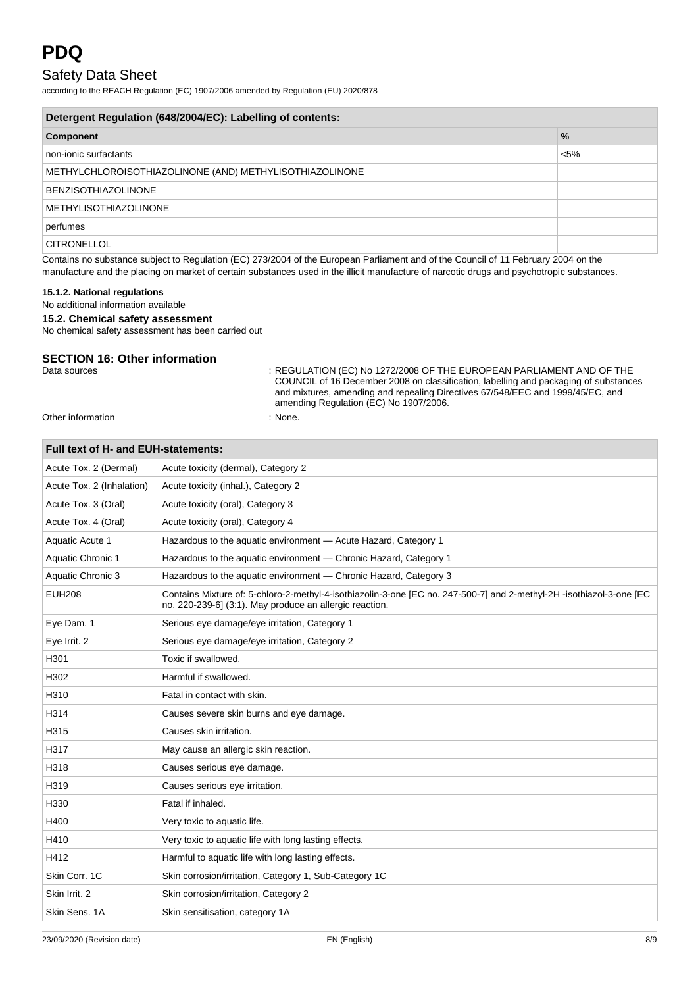according to the REACH Regulation (EC) 1907/2006 amended by Regulation (EU) 2020/878

| Detergent Regulation (648/2004/EC): Labelling of contents: |               |  |  |
|------------------------------------------------------------|---------------|--|--|
| <b>Component</b>                                           | $\frac{9}{6}$ |  |  |
| non-ionic surfactants                                      | $< 5\%$       |  |  |
| METHYLCHLOROISOTHIAZOLINONE (AND) METHYLISOTHIAZOLINONE    |               |  |  |
| <b>BENZISOTHIAZOLINONE</b>                                 |               |  |  |
| <b>METHYLISOTHIAZOLINONE</b>                               |               |  |  |
| perfumes                                                   |               |  |  |
| <b>CITRONELLOL</b>                                         |               |  |  |

Contains no substance subject to Regulation (EC) 273/2004 of the European Parliament and of the Council of 11 February 2004 on the manufacture and the placing on market of certain substances used in the illicit manufacture of narcotic drugs and psychotropic substances.

### **15.1.2. National regulations**

### No additional information available

### **15.2. Chemical safety assessment**

No chemical safety assessment has been carried out

### **SECTION 16: Other information**

Data sources : REGULATION (EC) No 1272/2008 OF THE EUROPEAN PARLIAMENT AND OF THE COUNCIL of 16 December 2008 on classification, labelling and packaging of substances and mixtures, amending and repealing Directives 67/548/EEC and 1999/45/EC, and amending Regulation (EC) No 1907/2006.

Other information : None.

| Full text of H- and EUH-statements: |                                                                                                                                                                                 |  |  |
|-------------------------------------|---------------------------------------------------------------------------------------------------------------------------------------------------------------------------------|--|--|
| Acute Tox. 2 (Dermal)               | Acute toxicity (dermal), Category 2                                                                                                                                             |  |  |
| Acute Tox. 2 (Inhalation)           | Acute toxicity (inhal.), Category 2                                                                                                                                             |  |  |
| Acute Tox. 3 (Oral)                 | Acute toxicity (oral), Category 3                                                                                                                                               |  |  |
| Acute Tox. 4 (Oral)                 | Acute toxicity (oral), Category 4                                                                                                                                               |  |  |
| Aquatic Acute 1                     | Hazardous to the aquatic environment - Acute Hazard, Category 1                                                                                                                 |  |  |
| Aquatic Chronic 1                   | Hazardous to the aquatic environment - Chronic Hazard, Category 1                                                                                                               |  |  |
| Aquatic Chronic 3                   | Hazardous to the aquatic environment - Chronic Hazard, Category 3                                                                                                               |  |  |
| <b>EUH208</b>                       | Contains Mixture of: 5-chloro-2-methyl-4-isothiazolin-3-one [EC no. 247-500-7] and 2-methyl-2H -isothiazol-3-one [EC<br>no. 220-239-6] (3:1). May produce an allergic reaction. |  |  |
| Eye Dam. 1                          | Serious eye damage/eye irritation, Category 1                                                                                                                                   |  |  |
| Eye Irrit. 2                        | Serious eye damage/eye irritation, Category 2                                                                                                                                   |  |  |
| H301                                | Toxic if swallowed.                                                                                                                                                             |  |  |
| H302                                | Harmful if swallowed.                                                                                                                                                           |  |  |
| H310                                | Fatal in contact with skin.                                                                                                                                                     |  |  |
| H314                                | Causes severe skin burns and eye damage.                                                                                                                                        |  |  |
| H315                                | Causes skin irritation.                                                                                                                                                         |  |  |
| H317                                | May cause an allergic skin reaction.                                                                                                                                            |  |  |
| H318                                | Causes serious eye damage.                                                                                                                                                      |  |  |
| H319                                | Causes serious eye irritation.                                                                                                                                                  |  |  |
| H330                                | Fatal if inhaled.                                                                                                                                                               |  |  |
| H400                                | Very toxic to aquatic life.                                                                                                                                                     |  |  |
| H410                                | Very toxic to aquatic life with long lasting effects.                                                                                                                           |  |  |
| H412                                | Harmful to aquatic life with long lasting effects.                                                                                                                              |  |  |
| Skin Corr. 1C                       | Skin corrosion/irritation, Category 1, Sub-Category 1C                                                                                                                          |  |  |
| Skin Irrit. 2                       | Skin corrosion/irritation, Category 2                                                                                                                                           |  |  |
| Skin Sens, 1A                       | Skin sensitisation, category 1A                                                                                                                                                 |  |  |